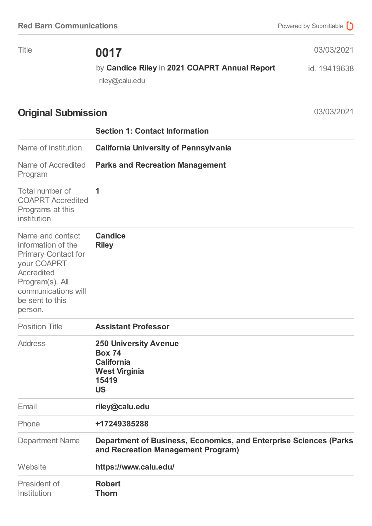Title **0017**

03/03/2021

by **Candice Riley** in **2021 COAPRT Annual Report** id. 19419638

riley@calu.edu

## **Original Submission** 03/03/2021

|                                                                                                                                                                           | <b>Section 1: Contact Information</b>                                                                            |
|---------------------------------------------------------------------------------------------------------------------------------------------------------------------------|------------------------------------------------------------------------------------------------------------------|
| Name of institution                                                                                                                                                       | <b>California University of Pennsylvania</b>                                                                     |
| Name of Accredited<br>Program                                                                                                                                             | <b>Parks and Recreation Management</b>                                                                           |
| Total number of<br><b>COAPRT Accredited</b><br>Programs at this<br>institution                                                                                            | 1                                                                                                                |
| Name and contact<br>information of the<br><b>Primary Contact for</b><br>your COAPRT<br>Accredited<br>Program(s). All<br>communications will<br>be sent to this<br>person. | <b>Candice</b><br><b>Riley</b>                                                                                   |
| <b>Position Title</b>                                                                                                                                                     | <b>Assistant Professor</b>                                                                                       |
| <b>Address</b>                                                                                                                                                            | <b>250 University Avenue</b><br><b>Box 74</b><br><b>California</b><br><b>West Virginia</b><br>15419<br><b>US</b> |
| Email                                                                                                                                                                     | riley@calu.edu                                                                                                   |
| Phone                                                                                                                                                                     | +17249385288                                                                                                     |
| <b>Department Name</b>                                                                                                                                                    | <b>Department of Business, Economics, and Enterprise Sciences (Parks)</b><br>and Recreation Management Program)  |
| Website                                                                                                                                                                   | https://www.calu.edu/                                                                                            |
| President of<br>Institution                                                                                                                                               | <b>Robert</b><br><b>Thorn</b>                                                                                    |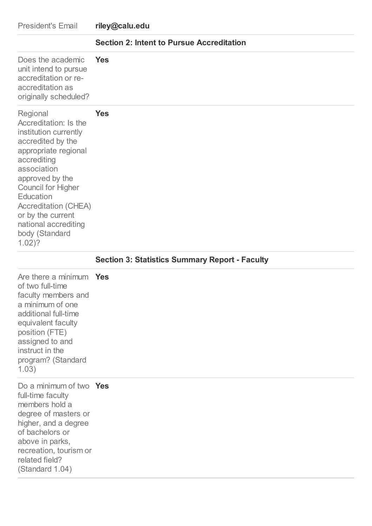| <b>President's Email</b>                                                                                                                                                                                                                                                                                     | riley@calu.edu                                        |
|--------------------------------------------------------------------------------------------------------------------------------------------------------------------------------------------------------------------------------------------------------------------------------------------------------------|-------------------------------------------------------|
|                                                                                                                                                                                                                                                                                                              | <b>Section 2: Intent to Pursue Accreditation</b>      |
| Does the academic<br>unit intend to pursue<br>accreditation or re-<br>accreditation as<br>originally scheduled?                                                                                                                                                                                              | <b>Yes</b>                                            |
| Regional<br>Accreditation: Is the<br>institution currently<br>accredited by the<br>appropriate regional<br>accrediting<br>association<br>approved by the<br><b>Council for Higher</b><br>Education<br><b>Accreditation (CHEA)</b><br>or by the current<br>national accrediting<br>body (Standard<br>$1.02$ ? | <b>Yes</b>                                            |
|                                                                                                                                                                                                                                                                                                              |                                                       |
|                                                                                                                                                                                                                                                                                                              | <b>Section 3: Statistics Summary Report - Faculty</b> |
| Are there a minimum Yes<br>of two full-time<br>faculty members and<br>a minimum of one<br>additional full-time<br>equivalent faculty<br>position (FTE)<br>assigned to and<br>instruct in the<br>program? (Standard<br>1.03)                                                                                  |                                                       |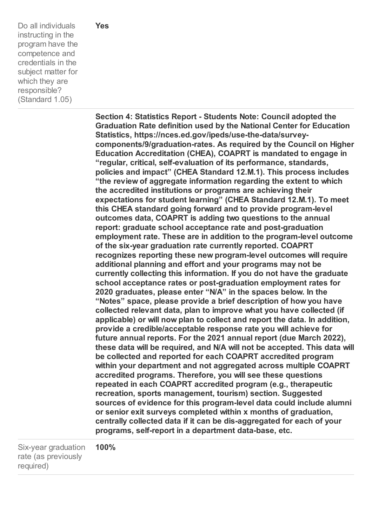Do all individuals instructing in the program have the competence and credentials in the subject matter for which they are responsible? (Standard 1.05)

**Section 4: Statistics Report - Students Note: Council adopted the Graduation Rate definition used by the National Center for Education Statistics, https://nces.ed.gov/ipeds/use-the-data/surveycomponents/9/graduation-rates. As required by the Council on Higher Education Accreditation (CHEA), COAPRT is mandated to engage in "regular, critical, self-evaluation of its performance, standards, policies and impact" (CHEA Standard 12.M.1). This process includes "the review of aggregate information regarding the extent to which the accredited institutions or programs are achieving their expectations for student learning" (CHEA Standard 12.M.1). To meet this CHEA standard going forward and to provide program-level outcomes data, COAPRT is adding two questions to the annual report: graduate school acceptance rate and post-graduation employment rate. These are in addition to the program-level outcome of the six-year graduation rate currently reported. COAPRT recognizes reporting these new program-level outcomes will require additional planning and effort and your programs may not be currently collecting this information. If you do not have the graduate school acceptance rates or post-graduation employment rates for 2020 graduates, please enter "N/A" in the spaces below. In the "Notes" space, please provide a brief description of how you have collected relevant data, plan to improve what you have collected (if applicable) or will now plan to collect and report the data. In addition, provide a credible/acceptable response rate you will achieve for future annual reports. For the 2021 annual report (due March 2022), these data will be required, and N/A will not be accepted. This data will be collected and reported for each COAPRT accredited program within your department and not aggregated across multiple COAPRT accredited programs. Therefore, you will see these questions repeated in each COAPRT accredited program (e.g., therapeutic recreation, sports management, tourism) section. Suggested sources of evidence for this program-level data could include alumni or senior exit surveys completed within x months of graduation, centrally collected data if it can be dis-aggregated for each of your programs, self-report in a department data-base, etc.**

Six-year graduation rate (as previously required) **100%**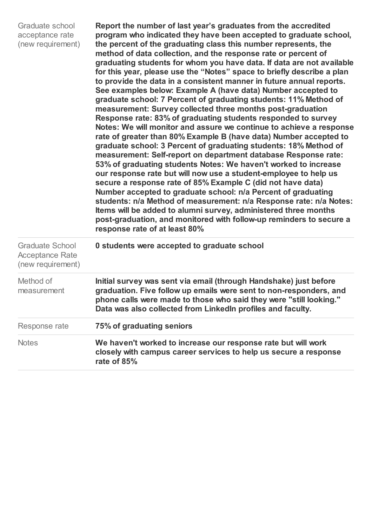| Graduate school<br>acceptance rate<br>(new requirement)               | Report the number of last year's graduates from the accredited<br>program who indicated they have been accepted to graduate school,<br>the percent of the graduating class this number represents, the<br>method of data collection, and the response rate or percent of<br>graduating students for whom you have data. If data are not available<br>for this year, please use the "Notes" space to briefly describe a plan<br>to provide the data in a consistent manner in future annual reports.<br>See examples below: Example A (have data) Number accepted to<br>graduate school: 7 Percent of graduating students: 11% Method of<br>measurement: Survey collected three months post-graduation<br>Response rate: 83% of graduating students responded to survey<br>Notes: We will monitor and assure we continue to achieve a response<br>rate of greater than 80% Example B (have data) Number accepted to<br>graduate school: 3 Percent of graduating students: 18% Method of<br>measurement: Self-report on department database Response rate:<br>53% of graduating students Notes: We haven't worked to increase<br>our response rate but will now use a student-employee to help us<br>secure a response rate of 85% Example C (did not have data)<br>Number accepted to graduate school: n/a Percent of graduating<br>students: n/a Method of measurement: n/a Response rate: n/a Notes:<br>Items will be added to alumni survey, administered three months<br>post-graduation, and monitored with follow-up reminders to secure a<br>response rate of at least 80% |
|-----------------------------------------------------------------------|----------------------------------------------------------------------------------------------------------------------------------------------------------------------------------------------------------------------------------------------------------------------------------------------------------------------------------------------------------------------------------------------------------------------------------------------------------------------------------------------------------------------------------------------------------------------------------------------------------------------------------------------------------------------------------------------------------------------------------------------------------------------------------------------------------------------------------------------------------------------------------------------------------------------------------------------------------------------------------------------------------------------------------------------------------------------------------------------------------------------------------------------------------------------------------------------------------------------------------------------------------------------------------------------------------------------------------------------------------------------------------------------------------------------------------------------------------------------------------------------------------------------------------------------------------------------------------|
| <b>Graduate School</b><br><b>Acceptance Rate</b><br>(new requirement) | 0 students were accepted to graduate school                                                                                                                                                                                                                                                                                                                                                                                                                                                                                                                                                                                                                                                                                                                                                                                                                                                                                                                                                                                                                                                                                                                                                                                                                                                                                                                                                                                                                                                                                                                                      |
| Method of<br>measurement                                              | Initial survey was sent via email (through Handshake) just before<br>graduation. Five follow up emails were sent to non-responders, and<br>phone calls were made to those who said they were "still looking."<br>Data was also collected from LinkedIn profiles and faculty.                                                                                                                                                                                                                                                                                                                                                                                                                                                                                                                                                                                                                                                                                                                                                                                                                                                                                                                                                                                                                                                                                                                                                                                                                                                                                                     |
| Response rate                                                         | 75% of graduating seniors                                                                                                                                                                                                                                                                                                                                                                                                                                                                                                                                                                                                                                                                                                                                                                                                                                                                                                                                                                                                                                                                                                                                                                                                                                                                                                                                                                                                                                                                                                                                                        |
| <b>Notes</b>                                                          | We haven't worked to increase our response rate but will work<br>closely with campus career services to help us secure a response<br>rate of 85%                                                                                                                                                                                                                                                                                                                                                                                                                                                                                                                                                                                                                                                                                                                                                                                                                                                                                                                                                                                                                                                                                                                                                                                                                                                                                                                                                                                                                                 |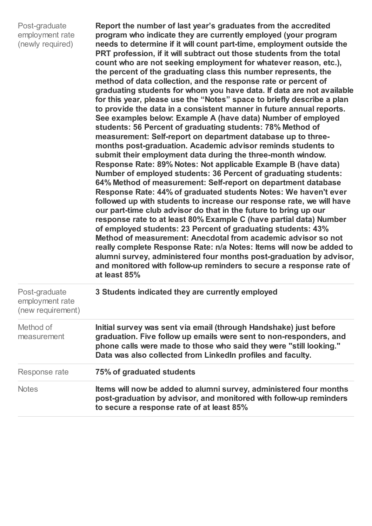| Post-graduate    |
|------------------|
| employment rate  |
| (newly required) |

**Report the number of last year's graduates from the accredited program who indicate they are currently employed (your program needs to determine if it will count part-time, employment outside the PRT profession, if it will subtract out those students from the total count who are not seeking employment for whatever reason, etc.), the percent of the graduating class this number represents, the method of data collection, and the response rate or percent of graduating students for whom you have data. If data are not available for this year, please use the "Notes" space to briefly describe a plan to provide the data in a consistent manner in future annual reports. See examples below: Example A (have data) Number of employed students: 56 Percent of graduating students: 78% Method of measurement: Self-report on department database up to threemonths post-graduation. Academic advisor reminds students to submit their employment data during the three-month window. Response Rate: 89% Notes: Not applicable Example B (have data) Number of employed students: 36 Percent of graduating students: 64% Method of measurement: Self-report on department database Response Rate: 44% of graduated students Notes: We haven't ever followed up with students to increase our response rate, we will have our part-time club advisor do that in the future to bring up our response rate to at least 80% Example C (have partial data) Number of employed students: 23 Percent of graduating students: 43% Method of measurement: Anecdotal from academic advisor so not really complete Response Rate: n/a Notes: Items will now be added to alumni survey, administered four months post-graduation by advisor, and monitored with follow-up reminders to secure a response rate of at least 85%**

| Post-graduate<br>employment rate<br>(new requirement) | 3 Students indicated they are currently employed                                                                                                                                                                                                                             |
|-------------------------------------------------------|------------------------------------------------------------------------------------------------------------------------------------------------------------------------------------------------------------------------------------------------------------------------------|
| Method of<br>measurement                              | Initial survey was sent via email (through Handshake) just before<br>graduation. Five follow up emails were sent to non-responders, and<br>phone calls were made to those who said they were "still looking."<br>Data was also collected from LinkedIn profiles and faculty. |
| Response rate                                         | 75% of graduated students                                                                                                                                                                                                                                                    |
| <b>Notes</b>                                          | Items will now be added to alumni survey, administered four months<br>post-graduation by advisor, and monitored with follow-up reminders<br>to secure a response rate of at least 85%                                                                                        |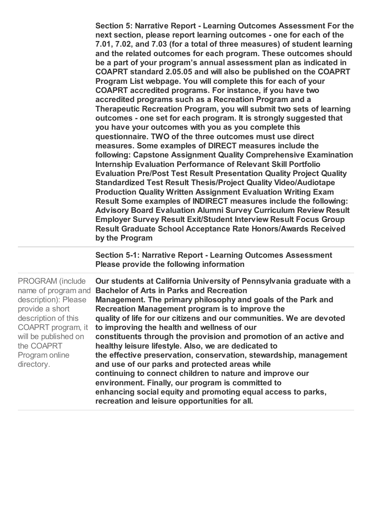**Section 5: Narrative Report - Learning Outcomes Assessment For the next section, please report learning outcomes - one for each of the 7.01, 7.02, and 7.03 (for a total of three measures) of student learning and the related outcomes for each program. These outcomes should be a part of your program's annual assessment plan as indicated in COAPRT standard 2.05.05 and will also be published on the COAPRT Program List webpage. You will complete this for each of your COAPRT accredited programs. For instance, if you have two accredited programs such as a Recreation Program and a Therapeutic Recreation Program, you will submit two sets of learning outcomes - one set for each program. It is strongly suggested that you have your outcomes with you as you complete this questionnaire. TWO of the three outcomes must use direct measures. Some examples of DIRECT measures include the following: Capstone Assignment Quality Comprehensive Examination Internship Evaluation Performance of Relevant Skill Portfolio Evaluation Pre/Post Test Result Presentation Quality Project Quality Standardized Test Result Thesis/Project Quality Video/Audiotape Production Quality Written Assignment Evaluation Writing Exam Result Some examples of INDIRECT measures include the following: Advisory Board Evaluation Alumni Survey Curriculum Review Result Employer Survey Result Exit/Student Interview Result Focus Group Result Graduate School Acceptance Rate Honors/Awards Received by the Program**

**Section 5-1: Narrative Report - Learning Outcomes Assessment Please provide the following information**

PROGRAM (include name of program and **Bachelor of Arts in Parks and Recreation** description): Please provide a short description of this COAPRT program, it will be published on the COAPRT Program online directory. **Our students at California University of Pennsylvania graduate with a Management. The primary philosophy and goals of the Park and Recreation Management program is to improve the quality of life for our citizens and our communities. We are devoted to improving the health and wellness of our constituents through the provision and promotion of an active and healthy leisure lifestyle. Also, we are dedicated to the effective preservation, conservation, stewardship, management and use of our parks and protected areas while continuing to connect children to nature and improve our environment. Finally, our program is committed to enhancing social equity and promoting equal access to parks, recreation and leisure opportunities for all.**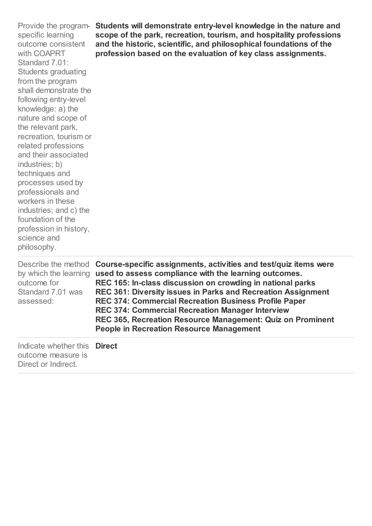| specific learning<br>outcome consistent<br>with COAPRT<br>Standard 7.01:<br><b>Students graduating</b><br>from the program<br>shall demonstrate the<br>following entry-level<br>knowledge: a) the<br>nature and scope of<br>the relevant park,<br>recreation, tourism or<br>related professions<br>and their associated<br>industries; b)<br>techniques and<br>processes used by<br>professionals and<br>workers in these<br>industries; and c) the<br>foundation of the<br>profession in history,<br>science and<br>philosophy. | Provide the program- Students will demonstrate entry-level knowledge in the nature and<br>scope of the park, recreation, tourism, and hospitality professions<br>and the historic, scientific, and philosophical foundations of the<br>profession based on the evaluation of key class assignments.                                                                                                                                                                                          |
|----------------------------------------------------------------------------------------------------------------------------------------------------------------------------------------------------------------------------------------------------------------------------------------------------------------------------------------------------------------------------------------------------------------------------------------------------------------------------------------------------------------------------------|----------------------------------------------------------------------------------------------------------------------------------------------------------------------------------------------------------------------------------------------------------------------------------------------------------------------------------------------------------------------------------------------------------------------------------------------------------------------------------------------|
| Describe the method<br>by which the learning<br>outcome for<br>Standard 7.01 was<br>assessed:                                                                                                                                                                                                                                                                                                                                                                                                                                    | Course-specific assignments, activities and test/quiz items were<br>used to assess compliance with the learning outcomes.<br>REC 165: In-class discussion on crowding in national parks<br>REC 361: Diversity issues in Parks and Recreation Assignment<br>REC 374: Commercial Recreation Business Profile Paper<br><b>REC 374: Commercial Recreation Manager Interview</b><br>REC 365, Recreation Resource Management: Quiz on Prominent<br><b>People in Recreation Resource Management</b> |
| Indicate whether this<br>outcome measure is<br>Direct or Indirect.                                                                                                                                                                                                                                                                                                                                                                                                                                                               | <b>Direct</b>                                                                                                                                                                                                                                                                                                                                                                                                                                                                                |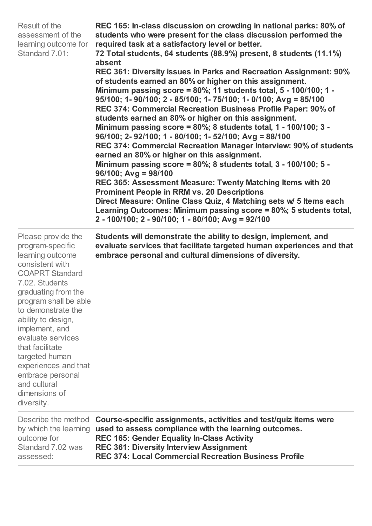| Result of the<br>assessment of the<br>learning outcome for<br>Standard 7.01:                                                                                                                                                                                                                                                                                                                 | REC 165: In-class discussion on crowding in national parks: 80% of<br>students who were present for the class discussion performed the<br>required task at a satisfactory level or better.<br>72 Total students, 64 students (88.9%) present, 8 students (11.1%)<br>absent<br>REC 361: Diversity issues in Parks and Recreation Assignment: 90%<br>of students earned an 80% or higher on this assignment.<br>Minimum passing score = $80\%$ ; 11 students total, 5 - 100/100; 1 -<br>95/100; 1-90/100; 2 - 85/100; 1-75/100; 1-0/100; Avg = 85/100<br>REC 374: Commercial Recreation Business Profile Paper: 90% of<br>students earned an 80% or higher on this assignment.<br>Minimum passing score = 80%; 8 students total, 1 - 100/100; 3 -<br>96/100; 2-92/100; 1 - 80/100; 1-52/100; Avg = 88/100<br>REC 374: Commercial Recreation Manager Interview: 90% of students<br>earned an 80% or higher on this assignment.<br>Minimum passing score = $80\%$ ; 8 students total, 3 - 100/100; 5 -<br>$96/100$ ; Avg = 98/100<br>REC 365: Assessment Measure: Twenty Matching Items with 20<br><b>Prominent People in RRM vs. 20 Descriptions</b><br>Direct Measure: Online Class Quiz, 4 Matching sets w/ 5 Items each<br>Learning Outcomes: Minimum passing score = 80%; 5 students total,<br>2 - 100/100; 2 - 90/100; 1 - 80/100; Avg = 92/100 |
|----------------------------------------------------------------------------------------------------------------------------------------------------------------------------------------------------------------------------------------------------------------------------------------------------------------------------------------------------------------------------------------------|---------------------------------------------------------------------------------------------------------------------------------------------------------------------------------------------------------------------------------------------------------------------------------------------------------------------------------------------------------------------------------------------------------------------------------------------------------------------------------------------------------------------------------------------------------------------------------------------------------------------------------------------------------------------------------------------------------------------------------------------------------------------------------------------------------------------------------------------------------------------------------------------------------------------------------------------------------------------------------------------------------------------------------------------------------------------------------------------------------------------------------------------------------------------------------------------------------------------------------------------------------------------------------------------------------------------------------------------------|
| Please provide the<br>program-specific<br>learning outcome<br>consistent with<br><b>COAPRT Standard</b><br>7.02. Students<br>graduating from the<br>program shall be able<br>to demonstrate the<br>ability to design,<br>implement, and<br>evaluate services<br>that facilitate<br>targeted human<br>experiences and that<br>embrace personal<br>and cultural<br>dimensions of<br>diversity. | Students will demonstrate the ability to design, implement, and<br>evaluate services that facilitate targeted human experiences and that<br>embrace personal and cultural dimensions of diversity.                                                                                                                                                                                                                                                                                                                                                                                                                                                                                                                                                                                                                                                                                                                                                                                                                                                                                                                                                                                                                                                                                                                                                |
| Describe the method<br>by which the learning<br>outcome for<br>Standard 7.02 was<br>assessed:                                                                                                                                                                                                                                                                                                | Course-specific assignments, activities and test/quiz items were<br>used to assess compliance with the learning outcomes.<br><b>REC 165: Gender Equality In-Class Activity</b><br><b>REC 361: Diversity Interview Assignment</b><br><b>REC 374: Local Commercial Recreation Business Profile</b>                                                                                                                                                                                                                                                                                                                                                                                                                                                                                                                                                                                                                                                                                                                                                                                                                                                                                                                                                                                                                                                  |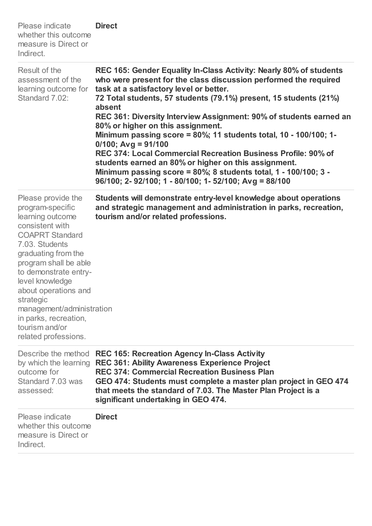| Please indicate<br>whether this outcome<br>measure is Direct or<br>Indirect.                                                                                                                                                                                                                                                                               | <b>Direct</b>                                                                                                                                                                                                                                                                                                                                                                                                                                                                                                                                                                                                                                                                                                                     |
|------------------------------------------------------------------------------------------------------------------------------------------------------------------------------------------------------------------------------------------------------------------------------------------------------------------------------------------------------------|-----------------------------------------------------------------------------------------------------------------------------------------------------------------------------------------------------------------------------------------------------------------------------------------------------------------------------------------------------------------------------------------------------------------------------------------------------------------------------------------------------------------------------------------------------------------------------------------------------------------------------------------------------------------------------------------------------------------------------------|
| Result of the<br>assessment of the<br>learning outcome for<br>Standard 7.02:                                                                                                                                                                                                                                                                               | REC 165: Gender Equality In-Class Activity: Nearly 80% of students<br>who were present for the class discussion performed the required<br>task at a satisfactory level or better.<br>72 Total students, 57 students (79.1%) present, 15 students (21%)<br>absent<br>REC 361: Diversity Interview Assignment: 90% of students earned an<br>80% or higher on this assignment.<br>Minimum passing score = 80%; 11 students total, 10 - 100/100; 1-<br>$0/100$ ; Avg = 91/100<br>REC 374: Local Commercial Recreation Business Profile: 90% of<br>students earned an 80% or higher on this assignment.<br>Minimum passing score = $80\%$ ; 8 students total, 1 - 100/100; 3 -<br>96/100; 2-92/100; 1 - 80/100; 1-52/100; Avg = 88/100 |
| Please provide the<br>program-specific<br>learning outcome<br>consistent with<br><b>COAPRT Standard</b><br>7.03. Students<br>graduating from the<br>program shall be able<br>to demonstrate entry-<br>level knowledge<br>about operations and<br>strategic<br>management/administration<br>in parks, recreation,<br>tourism and/or<br>related professions. | Students will demonstrate entry-level knowledge about operations<br>and strategic management and administration in parks, recreation,<br>tourism and/or related professions.                                                                                                                                                                                                                                                                                                                                                                                                                                                                                                                                                      |
| Describe the method<br>by which the learning<br>outcome for<br>Standard 7.03 was<br>assessed:                                                                                                                                                                                                                                                              | <b>REC 165: Recreation Agency In-Class Activity</b><br><b>REC 361: Ability Awareness Experience Project</b><br><b>REC 374: Commercial Recreation Business Plan</b><br>GEO 474: Students must complete a master plan project in GEO 474<br>that meets the standard of 7.03. The Master Plan Project is a<br>significant undertaking in GEO 474.                                                                                                                                                                                                                                                                                                                                                                                    |
| Please indicate<br>whether this outcome<br>measure is Direct or<br>Indirect.                                                                                                                                                                                                                                                                               | <b>Direct</b>                                                                                                                                                                                                                                                                                                                                                                                                                                                                                                                                                                                                                                                                                                                     |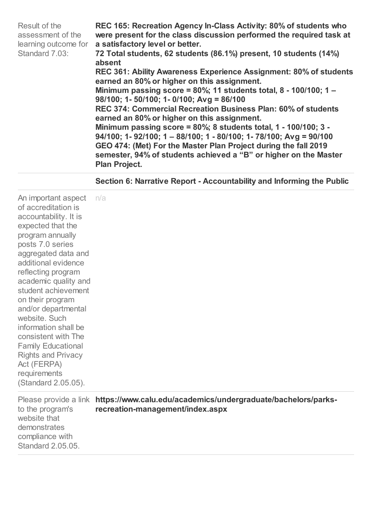| Result of the<br>assessment of the<br>learning outcome for<br>Standard 7.03:                                                                                                                                                                                                                                                                                                                                                                                                   | REC 165: Recreation Agency In-Class Activity: 80% of students who<br>were present for the class discussion performed the required task at<br>a satisfactory level or better.<br>72 Total students, 62 students (86.1%) present, 10 students (14%)<br>absent<br>REC 361: Ability Awareness Experience Assignment: 80% of students<br>earned an 80% or higher on this assignment.<br>Minimum passing score = $80\%$ ; 11 students total, 8 - 100/100; 1 -<br>$98/100$ ; 1-50/100; 1-0/100; Avg = 86/100<br>REC 374: Commercial Recreation Business Plan: 60% of students<br>earned an 80% or higher on this assignment.<br>Minimum passing score = $80\%$ ; 8 students total, 1 - 100/100; 3 -<br>$94/100$ ; 1-92/100; 1 - 88/100; 1 - 80/100; 1-78/100; Avg = 90/100<br>GEO 474: (Met) For the Master Plan Project during the fall 2019<br>semester, 94% of students achieved a "B" or higher on the Master<br><b>Plan Project.</b> |
|--------------------------------------------------------------------------------------------------------------------------------------------------------------------------------------------------------------------------------------------------------------------------------------------------------------------------------------------------------------------------------------------------------------------------------------------------------------------------------|------------------------------------------------------------------------------------------------------------------------------------------------------------------------------------------------------------------------------------------------------------------------------------------------------------------------------------------------------------------------------------------------------------------------------------------------------------------------------------------------------------------------------------------------------------------------------------------------------------------------------------------------------------------------------------------------------------------------------------------------------------------------------------------------------------------------------------------------------------------------------------------------------------------------------------|
|                                                                                                                                                                                                                                                                                                                                                                                                                                                                                | Section 6: Narrative Report - Accountability and Informing the Public                                                                                                                                                                                                                                                                                                                                                                                                                                                                                                                                                                                                                                                                                                                                                                                                                                                              |
| An important aspect<br>of accreditation is<br>accountability. It is<br>expected that the<br>program annually<br>posts 7.0 series<br>aggregated data and<br>additional evidence<br>reflecting program<br>academic quality and<br>student achievement<br>on their program<br>and/or departmental<br>website, Such<br>information shall be<br>consistent with The<br><b>Family Educational</b><br><b>Rights and Privacy</b><br>Act (FERPA)<br>requirements<br>(Standard 2.05.05). | n/a                                                                                                                                                                                                                                                                                                                                                                                                                                                                                                                                                                                                                                                                                                                                                                                                                                                                                                                                |
| to the program's<br>website that<br>demonstrates<br>compliance with<br>Standard 2,05,05.                                                                                                                                                                                                                                                                                                                                                                                       | Please provide a link https://www.calu.edu/academics/undergraduate/bachelors/parks-<br>recreation-management/index.aspx                                                                                                                                                                                                                                                                                                                                                                                                                                                                                                                                                                                                                                                                                                                                                                                                            |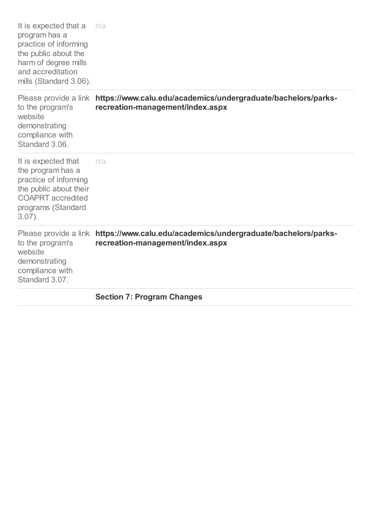|                                                                                                                                                                | <b>Section 7: Program Changes</b>                                                                                       |
|----------------------------------------------------------------------------------------------------------------------------------------------------------------|-------------------------------------------------------------------------------------------------------------------------|
| to the program's<br>website<br>demonstrating<br>compliance with<br>Standard 3.07.                                                                              | Please provide a link https://www.calu.edu/academics/undergraduate/bachelors/parks-<br>recreation-management/index.aspx |
| It is expected that<br>the program has a<br>practice of informing<br>the public about their<br><b>COAPRT</b> accredited<br>programs (Standard<br>$3.07$ ).     | n/a                                                                                                                     |
| to the program's<br>website<br>demonstrating<br>compliance with<br>Standard 3.06.                                                                              | Please provide a link https://www.calu.edu/academics/undergraduate/bachelors/parks-<br>recreation-management/index.aspx |
| It is expected that a<br>program has a<br>practice of informing<br>the public about the<br>harm of degree mills<br>and accreditation<br>mills (Standard 3.06). | n/a                                                                                                                     |